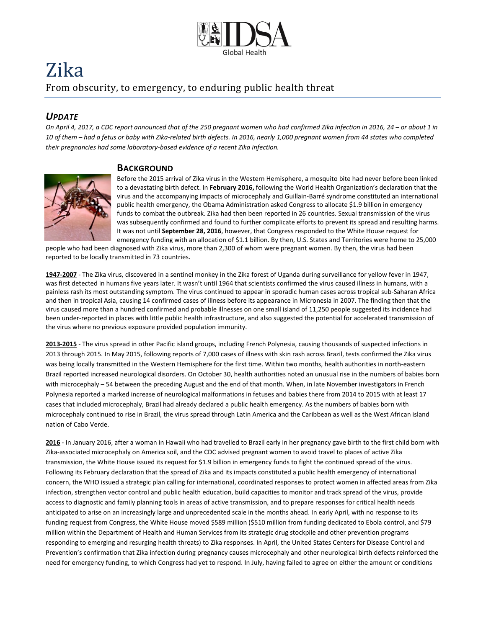

# Zika From obscurity, to emergency, to enduring public health threat

## *UPDATE*

*On April 4, 2017, a CDC report announced that of the 250 pregnant women who had confirmed Zika infection in 2016, 24 – or about 1 in 10 of them – had a fetus or baby with Zika-related birth defects. In 2016, nearly 1,000 pregnant women from 44 states who completed their pregnancies had some laboratory-based evidence of a recent Zika infection.*

#### **BACKGROUND**



Before the 2015 arrival of Zika virus in the Western Hemisphere, a mosquito bite had never before been linked to a devastating birth defect. In **February 2016,** following the World Health Organization's declaration that the virus and the accompanying impacts of microcephaly and Guillain-Barré syndrome constituted an international public health emergency, the Obama Administration asked Congress to allocate \$1.9 billion in emergency funds to combat the outbreak. Zika had then been reported in 26 countries. Sexual transmission of the virus was subsequently confirmed and found to further complicate efforts to prevent its spread and resulting harms. It was not until **September 28, 2016**, however, that Congress responded to the White House request for emergency funding with an allocation of \$1.1 billion. By then, U.S. States and Territories were home to 25,000

people who had been diagnosed with Zika virus, more than 2,300 of whom were pregnant women. By then, the virus had been reported to be locally transmitted in 73 countries.

**1947-2007** - The Zika virus, discovered in a sentinel monkey in the Zika forest of Uganda during surveillance for yellow fever in 1947, was first detected in humans five years later. It wasn't until 1964 that scientists confirmed the virus caused illness in humans, with a painless rash its most outstanding symptom. The virus continued to appear in sporadic human cases across tropical sub-Saharan Africa and then in tropical Asia, causing 14 confirmed cases of illness before its appearance in Micronesia in 2007. The finding then that the virus caused more than a hundred confirmed and probable illnesses on one small island of 11,250 people suggested its incidence had been under-reported in places with little public health infrastructure, and also suggested the potential for accelerated transmission of the virus where no previous exposure provided population immunity.

**2013-2015** - The virus spread in other Pacific island groups, including French Polynesia, causing thousands of suspected infections in 2013 through 2015. In May 2015, following reports of 7,000 cases of illness with skin rash across Brazil, tests confirmed the Zika virus was being locally transmitted in the Western Hemisphere for the first time. Within two months, health authorities in north-eastern Brazil reported increased neurological disorders. On October 30, health authorities noted an unusual rise in the numbers of babies born with microcephaly – 54 between the preceding August and the end of that month. When, in late November investigators in French Polynesia reported a marked increase of neurological malformations in fetuses and babies there from 2014 to 2015 with at least 17 cases that included microcephaly, Brazil had already declared a public health emergency. As the numbers of babies born with microcephaly continued to rise in Brazil, the virus spread through Latin America and the Caribbean as well as the West African island nation of Cabo Verde.

**2016** - In January 2016, after a woman in Hawaii who had travelled to Brazil early in her pregnancy gave birth to the first child born with Zika-associated microcephaly on America soil, and the CDC advised pregnant women to avoid travel to places of active Zika transmission, the White House issued its request for \$1.9 billion in emergency funds to fight the continued spread of the virus. Following its February declaration that the spread of Zika and its impacts constituted a public health emergency of international concern, the WHO issued a strategic plan calling for international, coordinated responses to protect women in affected areas from Zika infection, strengthen vector control and public health education, build capacities to monitor and track spread of the virus, provide access to diagnostic and family planning tools in areas of active transmission, and to prepare responses for critical health needs anticipated to arise on an increasingly large and unprecedented scale in the months ahead. In early April, with no response to its funding request from Congress, the White House moved \$589 million (\$510 million from funding dedicated to Ebola control, and \$79 million within the Department of Health and Human Services from its strategic drug stockpile and other prevention programs responding to emerging and resurging health threats) to Zika responses. In April, the United States Centers for Disease Control and Prevention's confirmation that Zika infection during pregnancy causes microcephaly and other neurological birth defects reinforced the need for emergency funding, to which Congress had yet to respond. In July, having failed to agree on either the amount or conditions